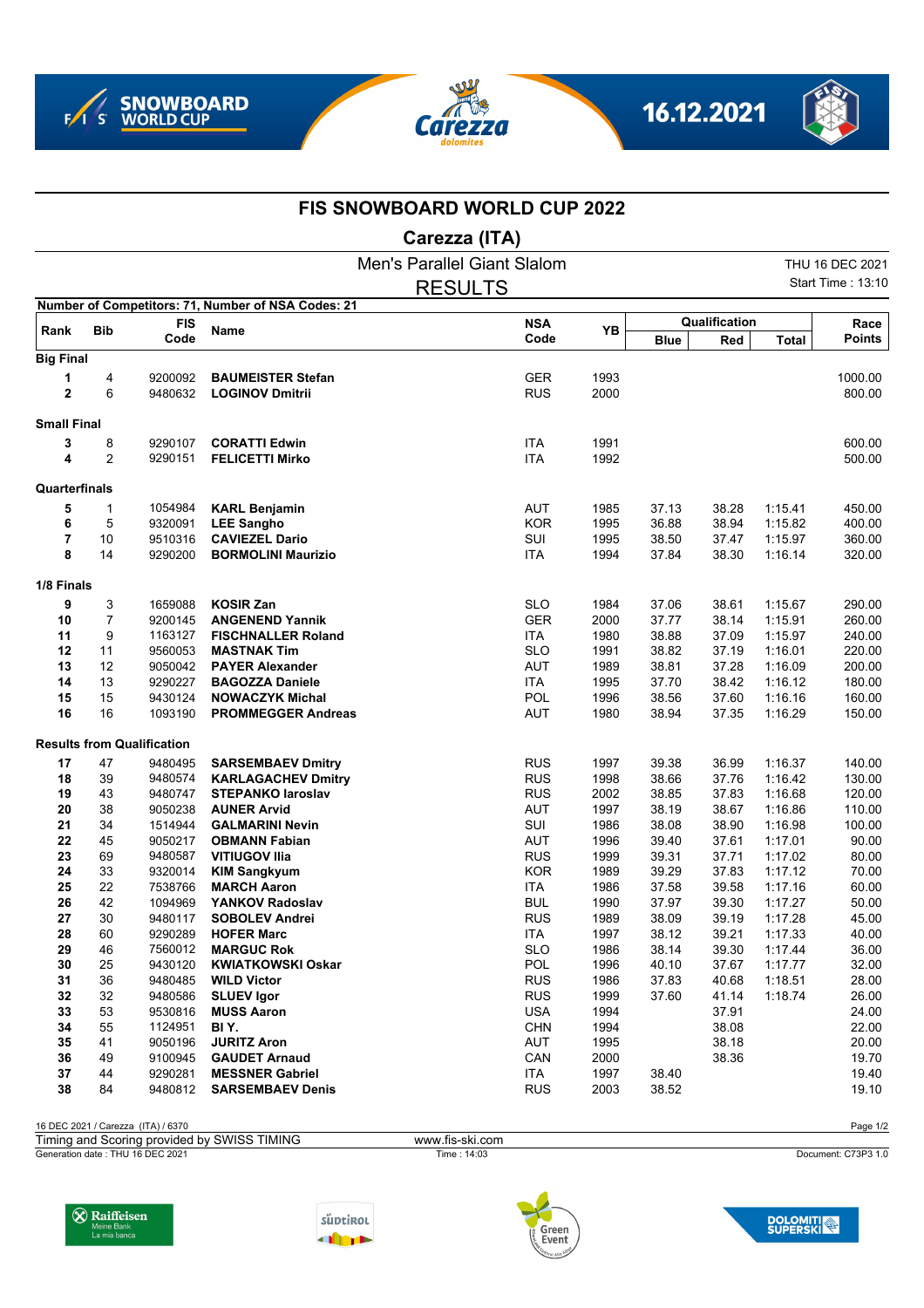







## **FIS SNOWBOARD WORLD CUP 2022**

## **Carezza (ITA)**

|                    |                |                                   |                                                    | Men's Parallel Giant Slalom |      |             |               |              | THU 16 DEC 2021          |
|--------------------|----------------|-----------------------------------|----------------------------------------------------|-----------------------------|------|-------------|---------------|--------------|--------------------------|
|                    |                |                                   |                                                    | <b>RESULTS</b>              |      |             |               |              | <b>Start Time: 13:10</b> |
|                    |                |                                   | Number of Competitors: 71, Number of NSA Codes: 21 |                             |      |             |               |              |                          |
|                    | <b>Bib</b>     | <b>FIS</b>                        |                                                    | <b>NSA</b>                  | YB   |             | Qualification |              | Race                     |
| Rank               |                | Code                              | Name                                               | Code                        |      | <b>Blue</b> | Red           | <b>Total</b> | <b>Points</b>            |
| <b>Big Final</b>   |                |                                   |                                                    |                             |      |             |               |              |                          |
| 1                  | 4              | 9200092                           | <b>BAUMEISTER Stefan</b>                           | <b>GER</b>                  | 1993 |             |               |              | 1000.00                  |
| $\overline{2}$     | 6              | 9480632                           | <b>LOGINOV Dmitrii</b>                             | <b>RUS</b>                  | 2000 |             |               |              | 800.00                   |
| <b>Small Final</b> |                |                                   |                                                    |                             |      |             |               |              |                          |
| 3                  | 8              | 9290107                           | <b>CORATTI Edwin</b>                               | <b>ITA</b>                  | 1991 |             |               |              | 600.00                   |
| 4                  | $\overline{2}$ | 9290151                           | <b>FELICETTI Mirko</b>                             | <b>ITA</b>                  | 1992 |             |               |              | 500.00                   |
| Quarterfinals      |                |                                   |                                                    |                             |      |             |               |              |                          |
| 5                  | $\mathbf{1}$   | 1054984                           | <b>KARL Benjamin</b>                               | <b>AUT</b>                  | 1985 | 37.13       | 38.28         | 1:15.41      | 450.00                   |
| 6                  | 5              | 9320091                           | <b>LEE Sangho</b>                                  | <b>KOR</b>                  | 1995 | 36.88       | 38.94         | 1:15.82      | 400.00                   |
| 7                  | 10             | 9510316                           | <b>CAVIEZEL Dario</b>                              | SUI                         | 1995 | 38.50       | 37.47         | 1:15.97      | 360.00                   |
| 8                  | 14             | 9290200                           | <b>BORMOLINI Maurizio</b>                          | <b>ITA</b>                  | 1994 | 37.84       | 38.30         | 1:16.14      | 320.00                   |
| 1/8 Finals         |                |                                   |                                                    |                             |      |             |               |              |                          |
| 9                  | 3              | 1659088                           | <b>KOSIR Zan</b>                                   | <b>SLO</b>                  | 1984 | 37.06       | 38.61         | 1:15.67      | 290.00                   |
| 10                 | $\overline{7}$ | 9200145                           | <b>ANGENEND Yannik</b>                             | <b>GER</b>                  | 2000 | 37.77       | 38.14         | 1:15.91      | 260.00                   |
| 11                 | 9              | 1163127                           | <b>FISCHNALLER Roland</b>                          | <b>ITA</b>                  | 1980 | 38.88       | 37.09         | 1:15.97      | 240.00                   |
| 12                 | 11             | 9560053                           | <b>MASTNAK Tim</b>                                 | <b>SLO</b>                  | 1991 | 38.82       | 37.19         | 1:16.01      | 220.00                   |
| 13                 | 12             | 9050042                           | <b>PAYER Alexander</b>                             | <b>AUT</b>                  | 1989 | 38.81       | 37.28         | 1:16.09      | 200.00                   |
| 14                 | 13             | 9290227                           | <b>BAGOZZA Daniele</b>                             | <b>ITA</b>                  | 1995 | 37.70       | 38.42         | 1:16.12      | 180.00                   |
| 15                 | 15             | 9430124                           | <b>NOWACZYK Michal</b>                             | POL                         | 1996 | 38.56       | 37.60         | 1:16.16      | 160.00                   |
| 16                 | 16             | 1093190                           | <b>PROMMEGGER Andreas</b>                          | <b>AUT</b>                  | 1980 | 38.94       | 37.35         | 1:16.29      | 150.00                   |
|                    |                | <b>Results from Qualification</b> |                                                    |                             |      |             |               |              |                          |
| 17                 | 47             | 9480495                           | <b>SARSEMBAEV Dmitry</b>                           | <b>RUS</b>                  | 1997 | 39.38       | 36.99         | 1:16.37      | 140.00                   |
| 18                 | 39             | 9480574                           | <b>KARLAGACHEV Dmitry</b>                          | <b>RUS</b>                  | 1998 | 38.66       | 37.76         | 1:16.42      | 130.00                   |
| 19                 | 43             | 9480747                           | <b>STEPANKO laroslav</b>                           | <b>RUS</b>                  | 2002 | 38.85       | 37.83         | 1:16.68      | 120.00                   |
| 20                 | 38             | 9050238                           | <b>AUNER Arvid</b>                                 | <b>AUT</b>                  | 1997 | 38.19       | 38.67         | 1:16.86      | 110.00                   |
| 21                 | 34             | 1514944                           | <b>GALMARINI Nevin</b>                             | SUI                         | 1986 | 38.08       | 38.90         | 1:16.98      | 100.00                   |
| 22                 | 45             | 9050217                           | <b>OBMANN Fabian</b>                               | AUT                         | 1996 | 39.40       | 37.61         | 1:17.01      | 90.00                    |
| 23                 | 69             | 9480587                           | <b>VITIUGOV Ilia</b>                               | <b>RUS</b>                  | 1999 | 39.31       | 37.71         | 1:17.02      | 80.00                    |
| 24                 | 33             | 9320014                           | <b>KIM Sangkyum</b>                                | <b>KOR</b>                  | 1989 | 39.29       | 37.83         | 1:17.12      | 70.00                    |
| 25                 | 22             | 7538766                           | <b>MARCH Aaron</b>                                 | <b>ITA</b>                  | 1986 | 37.58       | 39.58         | 1:17.16      | 60.00                    |
| 26                 | 42             | 1094969                           | YANKOV Radoslav                                    | <b>BUL</b>                  | 1990 | 37.97       | 39.30         | 1:17.27      | 50.00                    |
| 27                 | 30             | 9480117                           | <b>SOBOLEV Andrei</b>                              | <b>RUS</b>                  | 1989 | 38.09       | 39.19         | 1:17.28      | 45.00                    |
| 28                 | 60             | 9290289                           | <b>HOFER Marc</b>                                  | <b>ITA</b>                  | 1997 | 38.12       | 39.21         | 1:17.33      | 40.00                    |
| 29                 | 46             | 7560012                           | <b>MARGUC Rok</b>                                  | <b>SLO</b>                  | 1986 | 38.14       | 39.30         | 1:17.44      | 36.00                    |
| 30                 | 25             | 9430120                           | <b>KWIATKOWSKI Oskar</b>                           | POL                         | 1996 | 40.10       | 37.67         | 1:17.77      | 32.00                    |
| 31                 | 36             | 9480485                           | <b>WILD Victor</b>                                 | <b>RUS</b>                  | 1986 | 37.83       | 40.68         | 1:18.51      | 28.00                    |
| 32                 | 32             | 9480586                           | <b>SLUEV Igor</b>                                  | <b>RUS</b>                  | 1999 | 37.60       | 41.14         | 1:18.74      | 26.00                    |
| 33                 | 53             | 9530816                           | <b>MUSS Aaron</b>                                  | <b>USA</b>                  | 1994 |             | 37.91         |              | 24.00                    |
| 34                 | 55             | 1124951                           | BI Y.                                              | <b>CHN</b>                  | 1994 |             | 38.08         |              | 22.00                    |
| 35                 | 41             | 9050196                           | <b>JURITZ Aron</b>                                 | AUT                         | 1995 |             | 38.18         |              | 20.00                    |
| 36                 | 49             | 9100945                           | <b>GAUDET Arnaud</b>                               | CAN                         | 2000 |             | 38.36         |              | 19.70                    |
| 37                 | 44             | 9290281                           | <b>MESSNER Gabriel</b>                             | ITA                         | 1997 | 38.40       |               |              | 19.40                    |
| 38                 | 84             | 9480812                           | <b>SARSEMBAEV Denis</b>                            | <b>RUS</b>                  | 2003 | 38.52       |               |              | 19.10                    |

16 DEC 2021 / Carezza (ITA) / 6370 Page 1/2

Generation date : THU 16 DEC 2021 Time : 14:03 Document: C73P3 1.0 Timing and Scoring provided by SWISS TIMING www.fis-ski.com









**DOLOMITI**